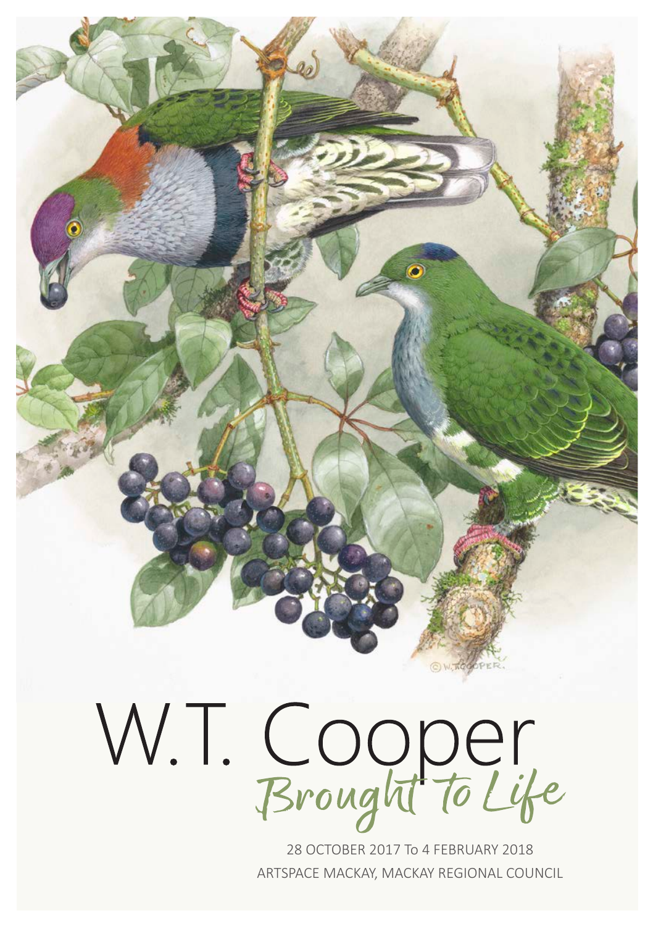## W.T. Cooper

28 OCTOBER 2017 To 4 FEBRUARY 2018 ARTSPACE MACKAY, MACKAY REGIONAL COUNCIL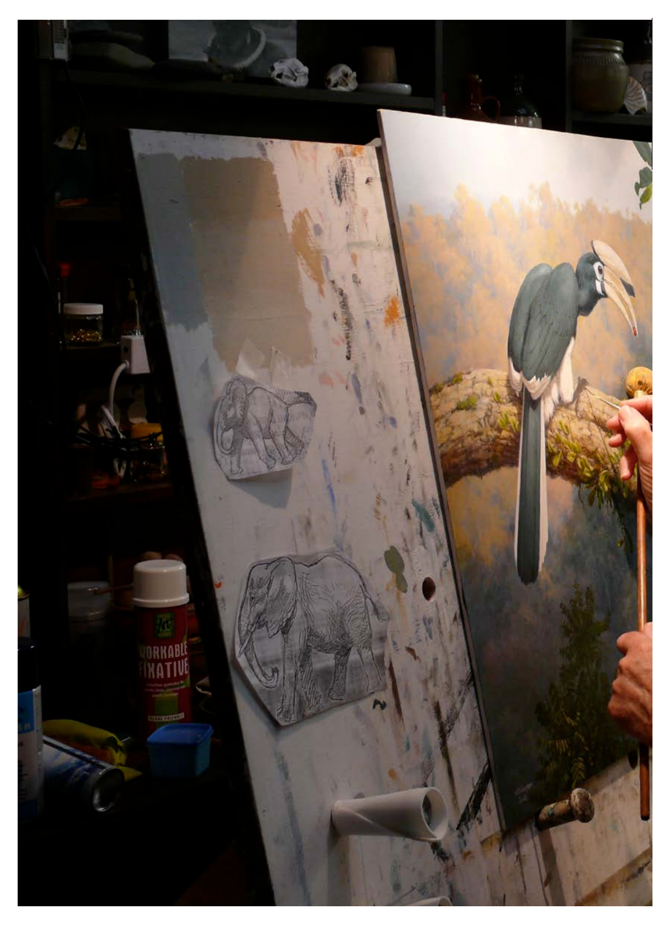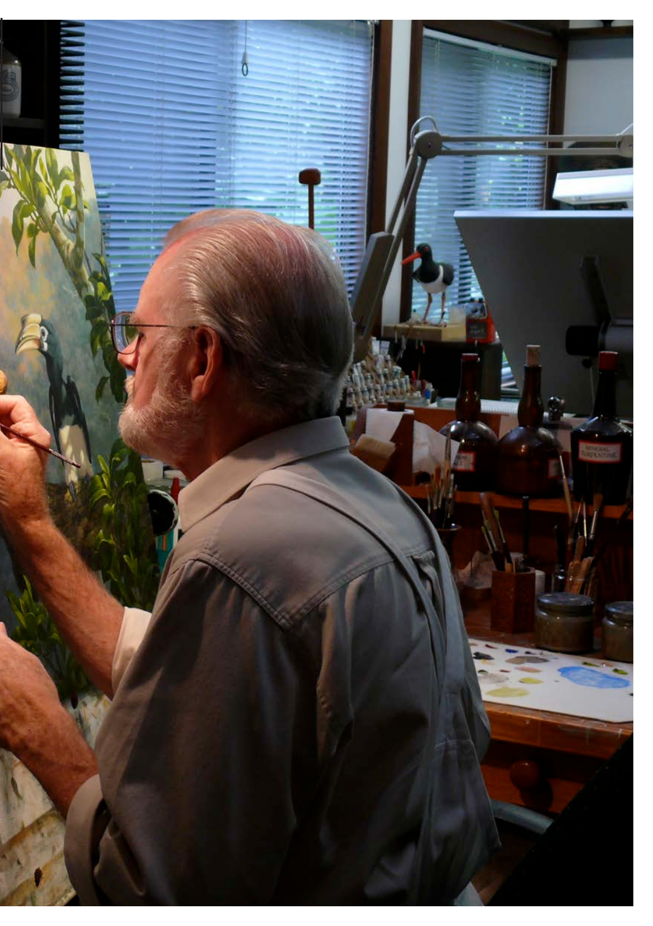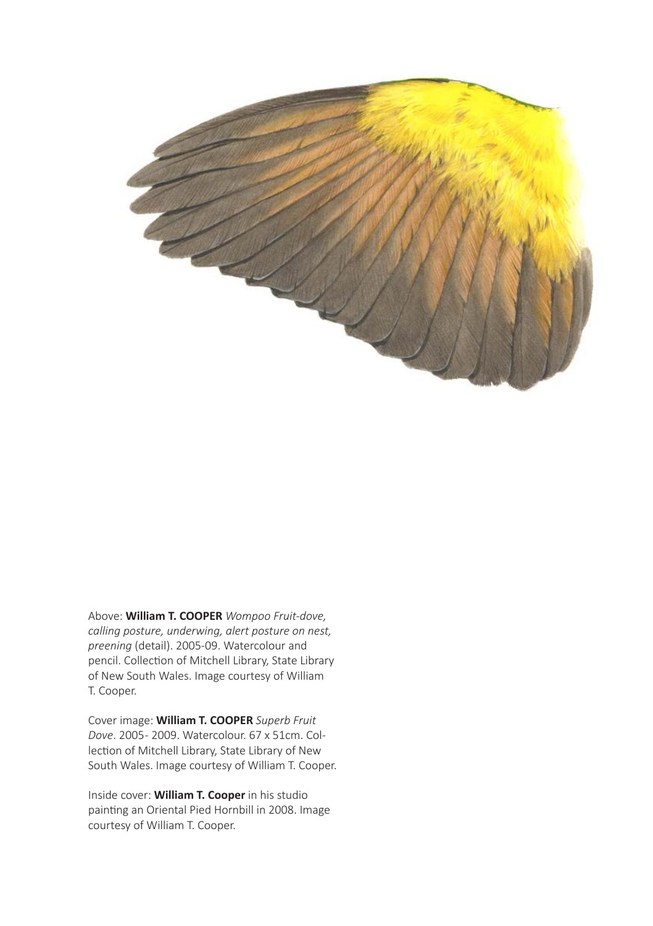

Above: **William T. COOPER** *Wompoo Fruit-dove, calling posture, underwing, alert posture on nest, preening* (detail). 2005-09. Watercolour and pencil. Collection of Mitchell Library, State Library of New South Wales. Image courtesy of William T. Cooper.

Cover image: **William T. COOPER** *Superb Fruit Dove*. 2005 - 2009. Watercolour. 67 x 51cm. Collection of Mitchell Library, State Library of New South Wales. Image courtesy of William T. Cooper.

Inside cover: **William T. Cooper** in his studio painting an Oriental Pied Hornbill in 2008. Image courtesy of William T. Cooper.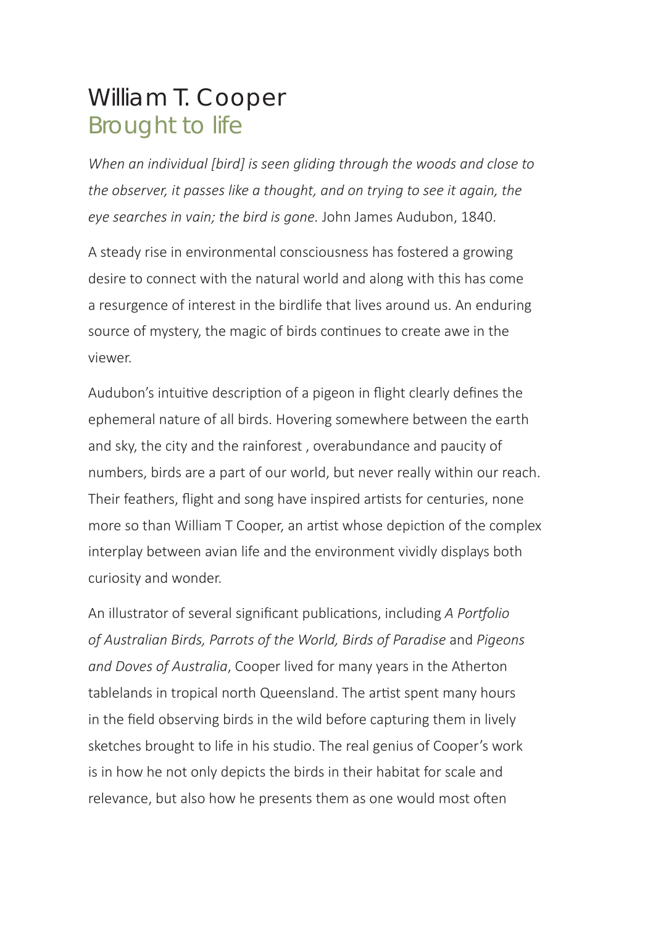## William T. Cooper *Brought to life*

*When an individual [bird] is seen gliding through the woods and close to the observer, it passes like a thought, and on trying to see it again, the eye searches in vain; the bird is gone.* John James Audubon, 1840.

A steady rise in environmental consciousness has fostered a growing desire to connect with the natural world and along with this has come a resurgence of interest in the birdlife that lives around us. An enduring source of mystery, the magic of birds continues to create awe in the viewer.

Audubon's intuitive description of a pigeon in flight clearly defines the ephemeral nature of all birds. Hovering somewhere between the earth and sky, the city and the rainforest , overabundance and paucity of numbers, birds are a part of our world, but never really within our reach. Their feathers, flight and song have inspired artists for centuries, none more so than William T Cooper, an artist whose depiction of the complex interplay between avian life and the environment vividly displays both curiosity and wonder.

An illustrator of several significant publications, including *A Portfolio of Australian Birds, Parrots of the World, Birds of Paradise* and *Pigeons and Doves of Australia*, Cooper lived for many years in the Atherton tablelands in tropical north Queensland. The artist spent many hours in the field observing birds in the wild before capturing them in lively sketches brought to life in his studio. The real genius of Cooper's work is in how he not only depicts the birds in their habitat for scale and relevance, but also how he presents them as one would most often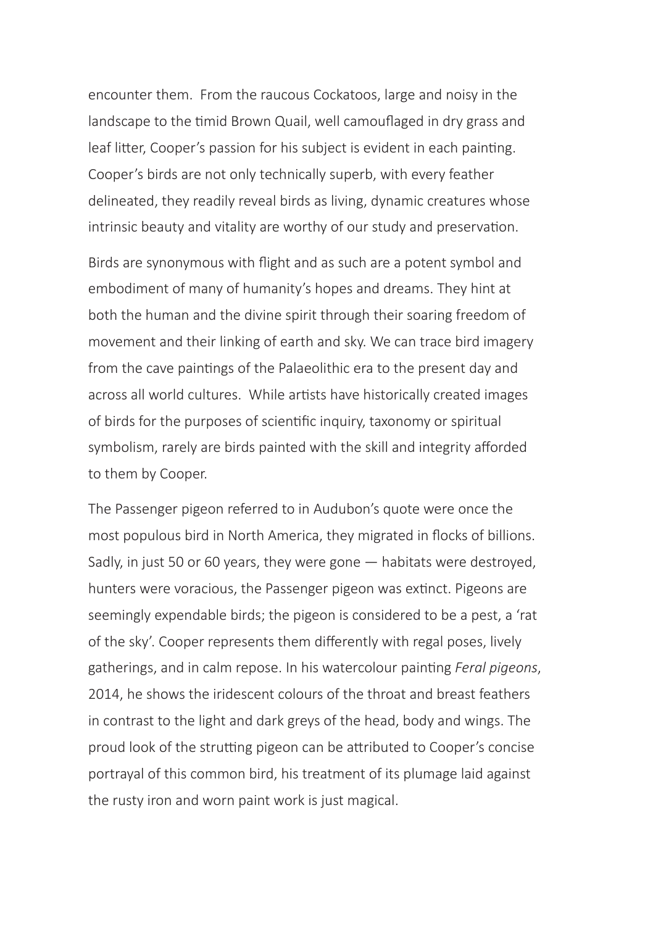encounter them. From the raucous Cockatoos, large and noisy in the landscape to the timid Brown Quail, well camouflaged in dry grass and leaf litter, Cooper's passion for his subject is evident in each painting. Cooper's birds are not only technically superb, with every feather delineated, they readily reveal birds as living, dynamic creatures whose intrinsic beauty and vitality are worthy of our study and preservation.

Birds are synonymous with flight and as such are a potent symbol and embodiment of many of humanity's hopes and dreams. They hint at both the human and the divine spirit through their soaring freedom of movement and their linking of earth and sky. We can trace bird imagery from the cave paintings of the Palaeolithic era to the present day and across all world cultures. While artists have historically created images of birds for the purposes of scientific inquiry, taxonomy or spiritual symbolism, rarely are birds painted with the skill and integrity afforded to them by Cooper.

The Passenger pigeon referred to in Audubon's quote were once the most populous bird in North America, they migrated in flocks of billions. Sadly, in just 50 or 60 years, they were gone — habitats were destroyed, hunters were voracious, the Passenger pigeon was extinct. Pigeons are seemingly expendable birds; the pigeon is considered to be a pest, a 'rat of the sky'. Cooper represents them differently with regal poses, lively gatherings, and in calm repose. In his watercolour painting *Feral pigeons*, 2014, he shows the iridescent colours of the throat and breast feathers in contrast to the light and dark greys of the head, body and wings. The proud look of the strutting pigeon can be attributed to Cooper's concise portrayal of this common bird, his treatment of its plumage laid against the rusty iron and worn paint work is just magical.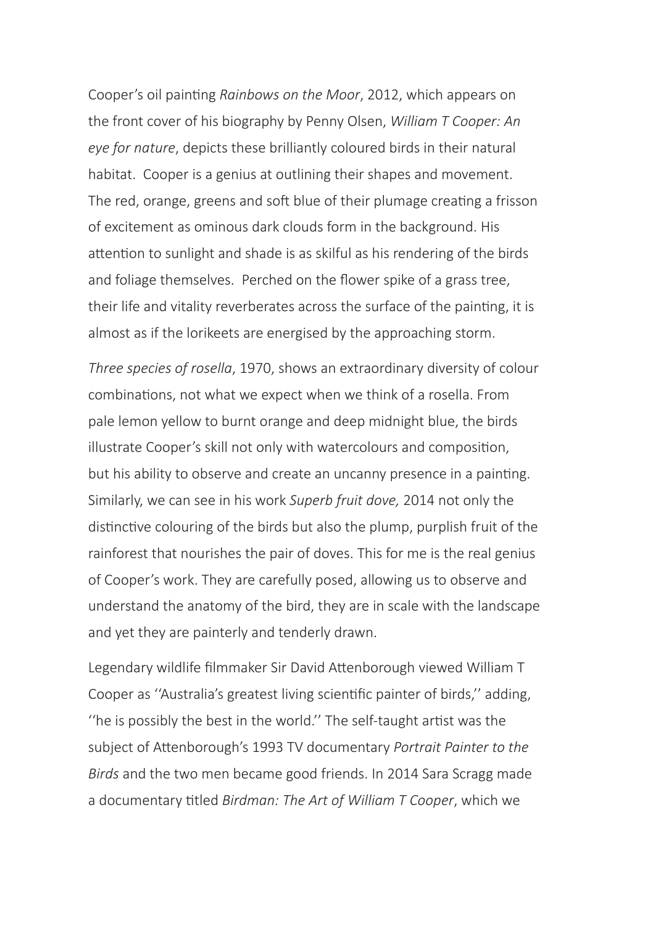Cooper's oil painting *Rainbows on the Moor*, 2012, which appears on the front cover of his biography by Penny Olsen, *William T Cooper: An eye for nature*, depicts these brilliantly coloured birds in their natural habitat. Cooper is a genius at outlining their shapes and movement. The red, orange, greens and soft blue of their plumage creating a frisson of excitement as ominous dark clouds form in the background. His attention to sunlight and shade is as skilful as his rendering of the birds and foliage themselves. Perched on the flower spike of a grass tree, their life and vitality reverberates across the surface of the painting, it is almost as if the lorikeets are energised by the approaching storm.

*Three species of rosella*, 1970, shows an extraordinary diversity of colour combinations, not what we expect when we think of a rosella. From pale lemon yellow to burnt orange and deep midnight blue, the birds illustrate Cooper's skill not only with watercolours and composition, but his ability to observe and create an uncanny presence in a painting. Similarly, we can see in his work *Superb fruit dove,* 2014 not only the distinctive colouring of the birds but also the plump, purplish fruit of the rainforest that nourishes the pair of doves. This for me is the real genius of Cooper's work. They are carefully posed, allowing us to observe and understand the anatomy of the bird, they are in scale with the landscape and yet they are painterly and tenderly drawn.

Legendary wildlife filmmaker Sir David Attenborough viewed William T Cooper as ''Australia's greatest living scientific painter of birds,'' adding, ''he is possibly the best in the world.'' The self-taught artist was the subject of Attenborough's 1993 TV documentary *Portrait Painter to the Birds* and the two men became good friends. In 2014 Sara Scragg made a documentary titled *Birdman: The Art of William T Cooper*, which we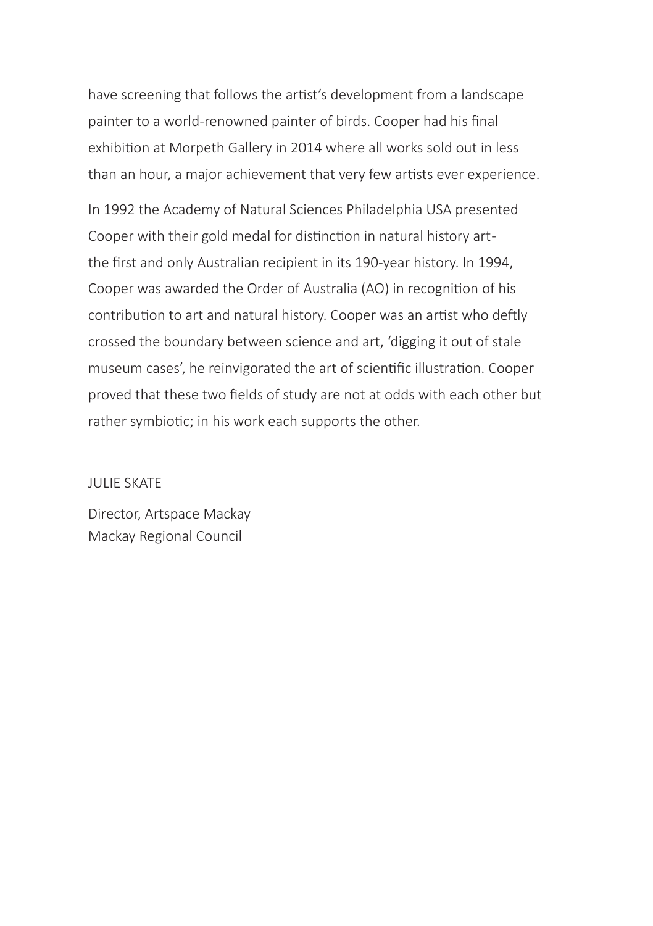have screening that follows the artist's development from a landscape painter to a world-renowned painter of birds. Cooper had his final exhibition at Morpeth Gallery in 2014 where all works sold out in less than an hour, a major achievement that very few artists ever experience.

In 1992 the Academy of Natural Sciences Philadelphia USA presented Cooper with their gold medal for distinction in natural history artthe first and only Australian recipient in its 190-year history. In 1994, Cooper was awarded the Order of Australia (AO) in recognition of his contribution to art and natural history. Cooper was an artist who deftly crossed the boundary between science and art, 'digging it out of stale museum cases', he reinvigorated the art of scientific illustration. Cooper proved that these two fields of study are not at odds with each other but rather symbiotic; in his work each supports the other.

JULIE SKATE

Director, Artspace Mackay Mackay Regional Council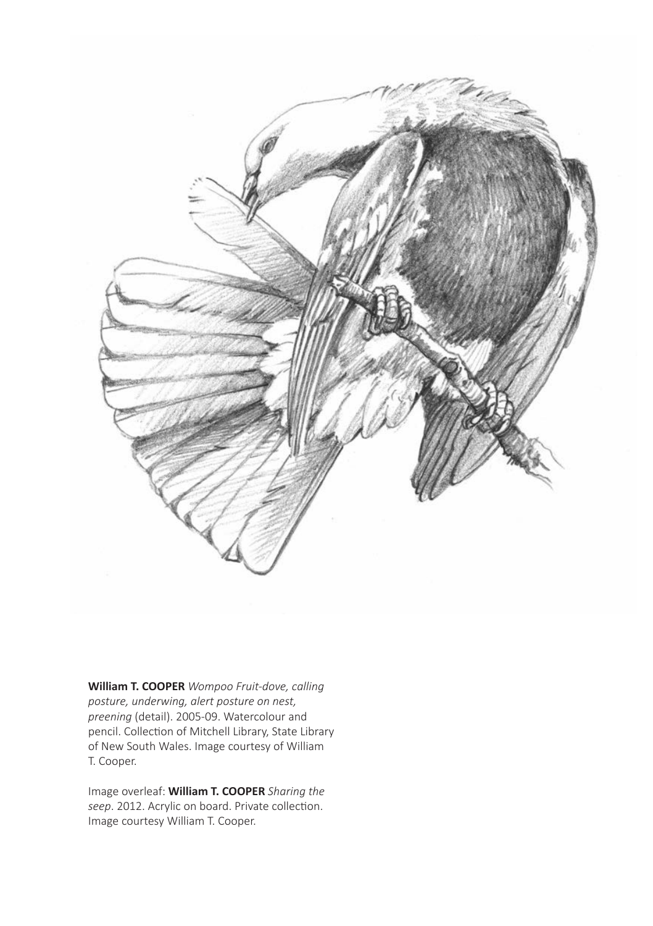

**William T. COOPER** *Wompoo Fruit-dove, calling posture, underwing, alert posture on nest, preening* (detail). 2005-09. Watercolour and pencil. Collection of Mitchell Library, State Library of New South Wales. Image courtesy of William T. Cooper.

Image overleaf: **William T. COOPER** *Sharing the seep*. 2012. Acrylic on board. Private collection. Image courtesy William T. Cooper.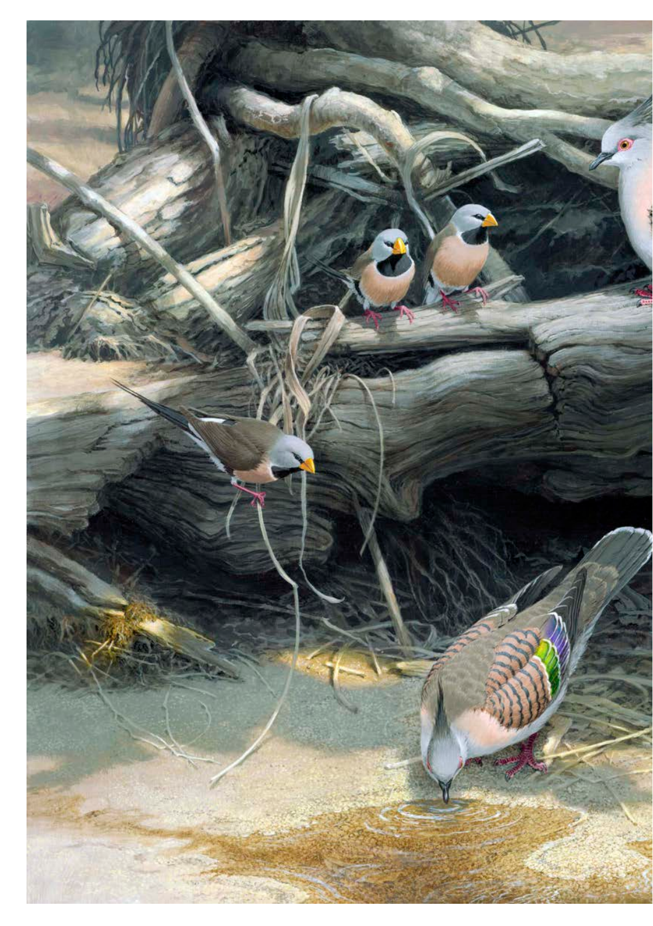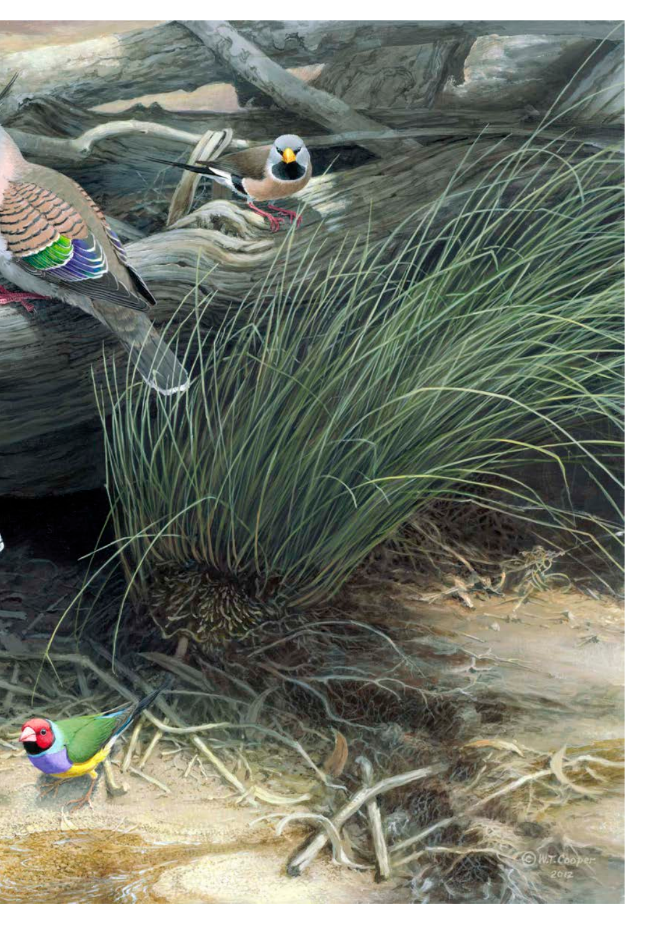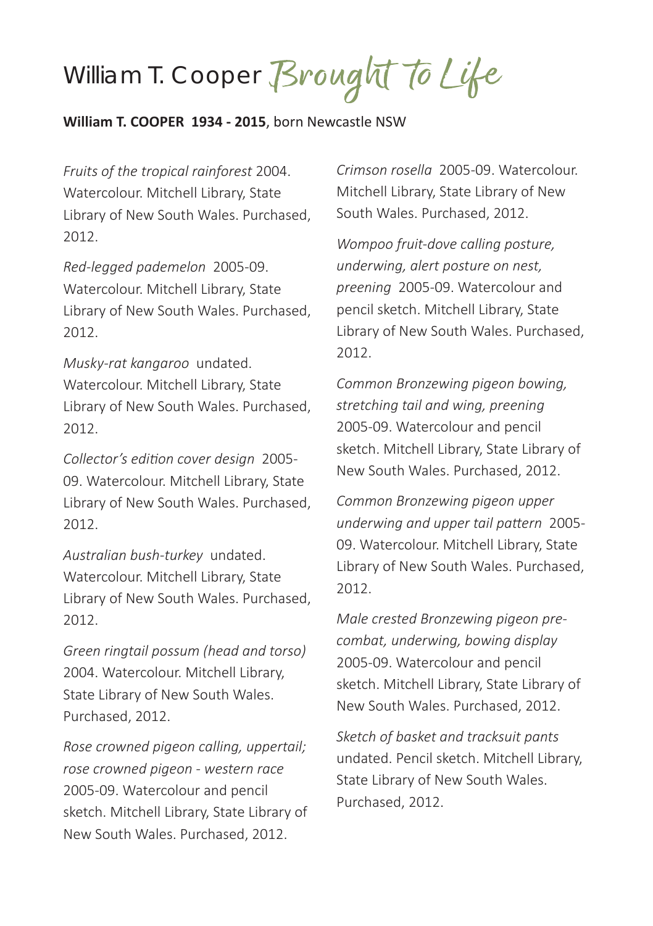## William T. Cooper Brought To Life

## **William T. COOPER 1934 - 2015**, born Newcastle NSW

*Fruits of the tropical rainforest* 2004. Watercolour. Mitchell Library, State Library of New South Wales. Purchased, 2012.

*Red-legged pademelon* 2005-09. Watercolour. Mitchell Library, State Library of New South Wales. Purchased, 2012.

*Musky-rat kangaroo* undated. Watercolour. Mitchell Library, State Library of New South Wales. Purchased, 2012.

*Collector's edition cover design* 2005- 09. Watercolour. Mitchell Library, State Library of New South Wales. Purchased, 2012.

*Australian bush-turkey* undated. Watercolour. Mitchell Library, State Library of New South Wales. Purchased, 2012.

*Green ringtail possum (head and torso)*  2004. Watercolour. Mitchell Library, State Library of New South Wales. Purchased, 2012.

*Rose crowned pigeon calling, uppertail; rose crowned pigeon - western race* 2005-09. Watercolour and pencil sketch. Mitchell Library, State Library of New South Wales. Purchased, 2012.

*Crimson rosella* 2005-09. Watercolour. Mitchell Library, State Library of New South Wales. Purchased, 2012.

*Wompoo fruit-dove calling posture, underwing, alert posture on nest, preening* 2005-09. Watercolour and pencil sketch. Mitchell Library, State Library of New South Wales. Purchased, 2012.

*Common Bronzewing pigeon bowing, stretching tail and wing, preening* 2005-09. Watercolour and pencil sketch. Mitchell Library, State Library of New South Wales. Purchased, 2012.

*Common Bronzewing pigeon upper underwing and upper tail pattern* 2005- 09. Watercolour. Mitchell Library, State Library of New South Wales. Purchased, 2012.

*Male crested Bronzewing pigeon precombat, underwing, bowing display*  2005-09. Watercolour and pencil sketch. Mitchell Library, State Library of New South Wales. Purchased, 2012.

*Sketch of basket and tracksuit pants* undated. Pencil sketch. Mitchell Library, State Library of New South Wales. Purchased, 2012.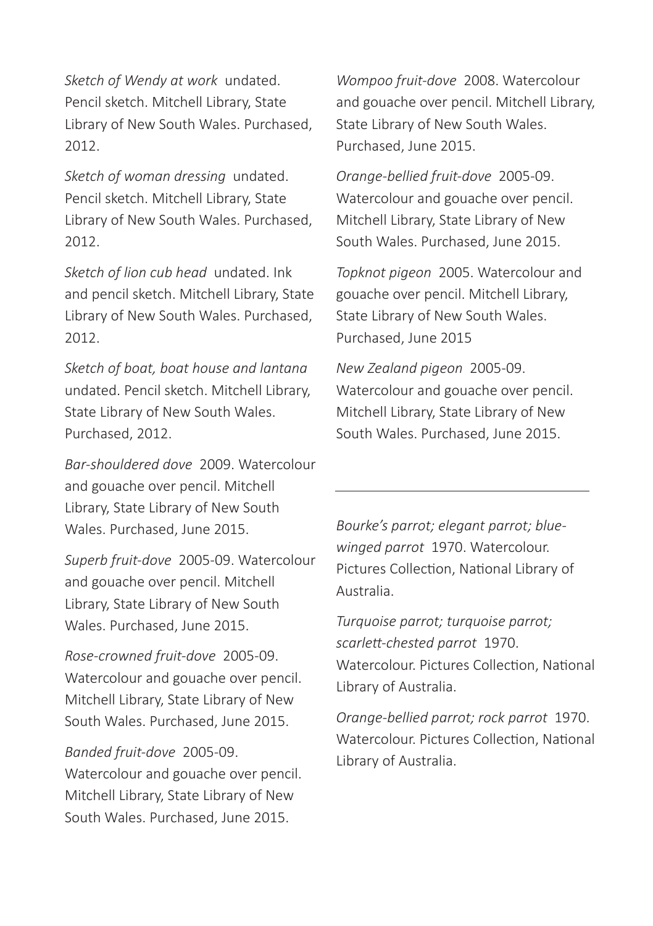*Sketch of Wendy at work* undated. Pencil sketch. Mitchell Library, State Library of New South Wales. Purchased, 2012.

*Sketch of woman dressing* undated. Pencil sketch. Mitchell Library, State Library of New South Wales. Purchased, 2012.

*Sketch of lion cub head* undated. Ink and pencil sketch. Mitchell Library, State Library of New South Wales. Purchased, 2012.

*Sketch of boat, boat house and lantana* undated. Pencil sketch. Mitchell Library, State Library of New South Wales. Purchased, 2012.

*Bar-shouldered dove* 2009. Watercolour and gouache over pencil. Mitchell Library, State Library of New South Wales. Purchased, June 2015.

*Superb fruit-dove* 2005-09. Watercolour and gouache over pencil. Mitchell Library, State Library of New South Wales. Purchased, June 2015.

*Rose-crowned fruit-dove* 2005-09. Watercolour and gouache over pencil. Mitchell Library, State Library of New South Wales. Purchased, June 2015.

*Banded fruit-dove* 2005-09. Watercolour and gouache over pencil. Mitchell Library, State Library of New South Wales. Purchased, June 2015.

*Wompoo fruit-dove* 2008. Watercolour and gouache over pencil. Mitchell Library, State Library of New South Wales. Purchased, June 2015.

*Orange-bellied fruit-dove* 2005-09. Watercolour and gouache over pencil. Mitchell Library, State Library of New South Wales. Purchased, June 2015.

*Topknot pigeon* 2005. Watercolour and gouache over pencil. Mitchell Library, State Library of New South Wales. Purchased, June 2015

*New Zealand pigeon* 2005-09. Watercolour and gouache over pencil. Mitchell Library, State Library of New South Wales. Purchased, June 2015.

*Bourke's parrot; elegant parrot; bluewinged parrot* 1970. Watercolour. Pictures Collection, National Library of Australia.

*Turquoise parrot; turquoise parrot; scarlett-chested parrot* 1970. Watercolour. Pictures Collection, National Library of Australia.

*Orange-bellied parrot; rock parrot* 1970. Watercolour. Pictures Collection, National Library of Australia.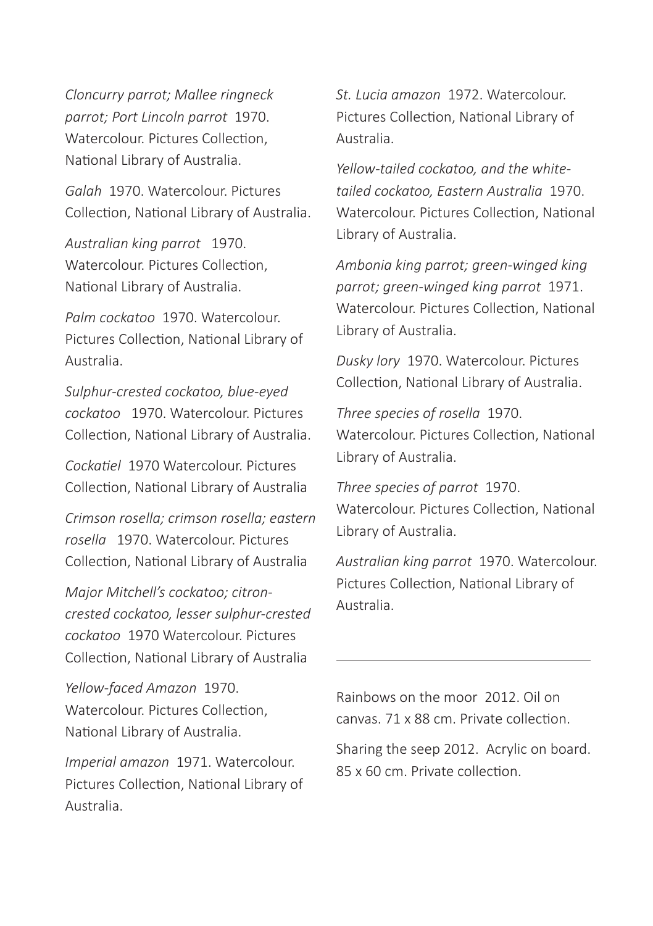*Cloncurry parrot; Mallee ringneck parrot; Port Lincoln parrot* 1970. Watercolour. Pictures Collection, National Library of Australia.

*Galah* 1970. Watercolour. Pictures Collection, National Library of Australia.

*Australian king parrot* 1970. Watercolour. Pictures Collection, National Library of Australia.

*Palm cockatoo* 1970. Watercolour. Pictures Collection, National Library of Australia.

*Sulphur-crested cockatoo, blue-eyed cockatoo* 1970. Watercolour. Pictures Collection, National Library of Australia.

*Cockatiel* 1970 Watercolour. Pictures Collection, National Library of Australia

*Crimson rosella; crimson rosella; eastern rosella* 1970. Watercolour. Pictures Collection, National Library of Australia

*Major Mitchell's cockatoo; citroncrested cockatoo, lesser sulphur-crested cockatoo* 1970 Watercolour. Pictures Collection, National Library of Australia

*Yellow-faced Amazon* 1970. Watercolour. Pictures Collection, National Library of Australia.

*Imperial amazon* 1971. Watercolour. Pictures Collection, National Library of Australia.

*St. Lucia amazon* 1972. Watercolour. Pictures Collection, National Library of Australia.

*Yellow-tailed cockatoo, and the whitetailed cockatoo, Eastern Australia* 1970. Watercolour. Pictures Collection, National Library of Australia.

*Ambonia king parrot; green-winged king parrot; green-winged king parrot* 1971. Watercolour. Pictures Collection, National Library of Australia.

*Dusky lory* 1970. Watercolour. Pictures Collection, National Library of Australia.

*Three species of rosella* 1970. Watercolour. Pictures Collection, National Library of Australia.

*Three species of parrot* 1970. Watercolour. Pictures Collection, National Library of Australia.

*Australian king parrot* 1970. Watercolour. Pictures Collection, National Library of Australia.

Rainbows on the moor 2012. Oil on canvas. 71 x 88 cm. Private collection.

Sharing the seep 2012. Acrylic on board. 85 x 60 cm. Private collection.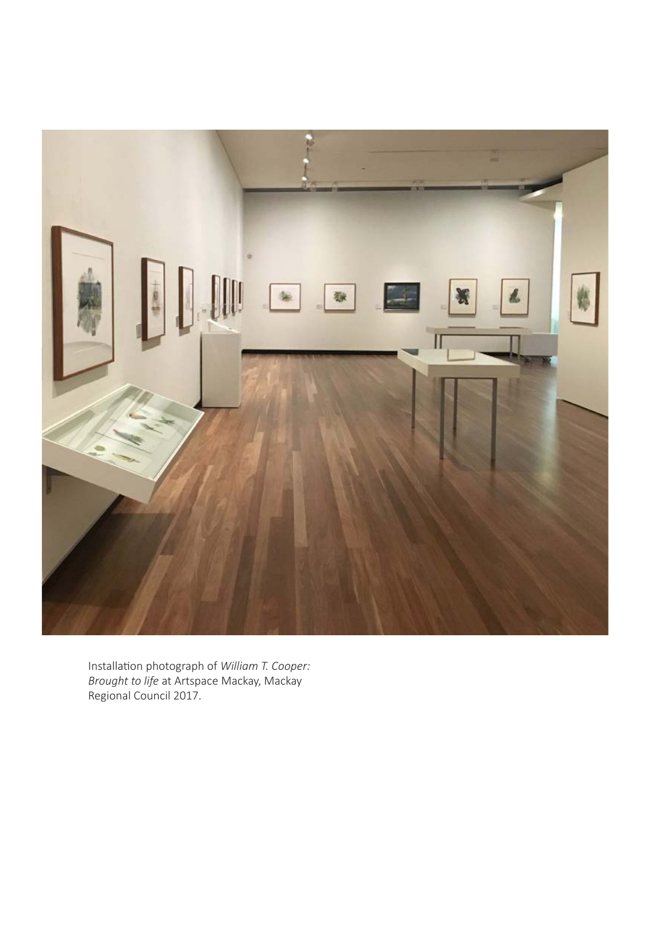

Installation photograph of *William T. Cooper: Brought to life* at Artspace Mackay, Mackay Regional Council 2017.